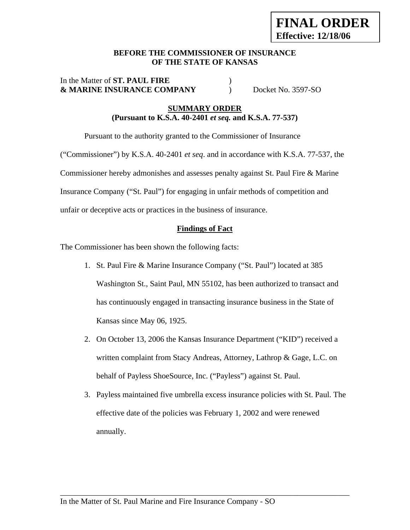#### **BEFORE THE COMMISSIONER OF INSURANCE OF THE STATE OF KANSAS**

#### In the Matter of **ST. PAUL FIRE** ) **& MARINE INSURANCE COMPANY** ) Docket No. 3597-SO

## **SUMMARY ORDER (Pursuant to K.S.A. 40-2401** *et seq.* **and K.S.A. 77-537)**

Pursuant to the authority granted to the Commissioner of Insurance

("Commissioner") by K.S.A. 40-2401 *et seq*. and in accordance with K.S.A. 77-537, the Commissioner hereby admonishes and assesses penalty against St. Paul Fire & Marine Insurance Company ("St. Paul") for engaging in unfair methods of competition and unfair or deceptive acts or practices in the business of insurance.

# **Findings of Fact**

The Commissioner has been shown the following facts:

- 1. St. Paul Fire & Marine Insurance Company ("St. Paul") located at 385 Washington St., Saint Paul, MN 55102, has been authorized to transact and has continuously engaged in transacting insurance business in the State of Kansas since May 06, 1925.
- 2. On October 13, 2006 the Kansas Insurance Department ("KID") received a written complaint from Stacy Andreas, Attorney, Lathrop & Gage, L.C. on behalf of Payless ShoeSource, Inc. ("Payless") against St. Paul.
- 3. Payless maintained five umbrella excess insurance policies with St. Paul. The effective date of the policies was February 1, 2002 and were renewed annually.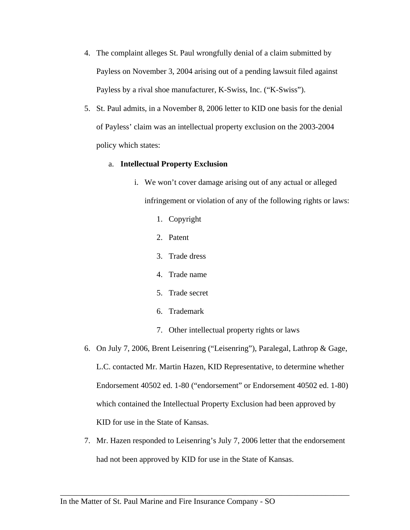- 4. The complaint alleges St. Paul wrongfully denial of a claim submitted by Payless on November 3, 2004 arising out of a pending lawsuit filed against Payless by a rival shoe manufacturer, K-Swiss, Inc. ("K-Swiss").
- 5. St. Paul admits, in a November 8, 2006 letter to KID one basis for the denial of Payless' claim was an intellectual property exclusion on the 2003-2004 policy which states:

#### a. **Intellectual Property Exclusion**

- i. We won't cover damage arising out of any actual or alleged infringement or violation of any of the following rights or laws:
	- 1. Copyright
	- 2. Patent
	- 3. Trade dress
	- 4. Trade name
	- 5. Trade secret
	- 6. Trademark
	- 7. Other intellectual property rights or laws
- 6. On July 7, 2006, Brent Leisenring ("Leisenring"), Paralegal, Lathrop & Gage, L.C. contacted Mr. Martin Hazen, KID Representative, to determine whether Endorsement 40502 ed. 1-80 ("endorsement" or Endorsement 40502 ed. 1-80) which contained the Intellectual Property Exclusion had been approved by KID for use in the State of Kansas.
- 7. Mr. Hazen responded to Leisenring's July 7, 2006 letter that the endorsement had not been approved by KID for use in the State of Kansas.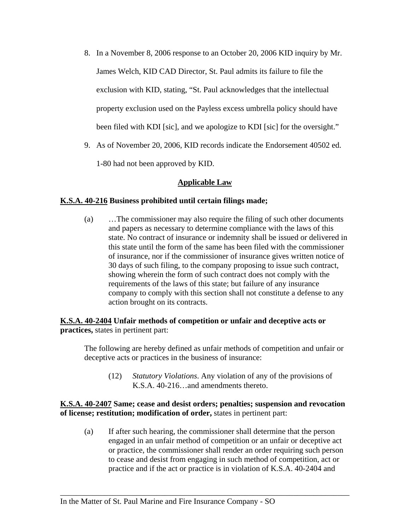- 8. In a November 8, 2006 response to an October 20, 2006 KID inquiry by Mr. James Welch, KID CAD Director, St. Paul admits its failure to file the exclusion with KID, stating, "St. Paul acknowledges that the intellectual property exclusion used on the Payless excess umbrella policy should have been filed with KDI [sic], and we apologize to KDI [sic] for the oversight."
- 9. As of November 20, 2006, KID records indicate the Endorsement 40502 ed.

1-80 had not been approved by KID.

## **Applicable Law**

#### **K.S.A. 40-216 Business prohibited until certain filings made;**

(a) …The commissioner may also require the filing of such other documents and papers as necessary to determine compliance with the laws of this state. No contract of insurance or indemnity shall be issued or delivered in this state until the form of the same has been filed with the commissioner of insurance, nor if the commissioner of insurance gives written notice of 30 days of such filing, to the company proposing to issue such contract, showing wherein the form of such contract does not comply with the requirements of the laws of this state; but failure of any insurance company to comply with this section shall not constitute a defense to any action brought on its contracts.

## **K.S.A. 40-2404 Unfair methods of competition or unfair and deceptive acts or practices,** states in pertinent part:

The following are hereby defined as unfair methods of competition and unfair or deceptive acts or practices in the business of insurance:

(12) *Statutory Violations*. Any violation of any of the provisions of K.S.A. 40-216…and amendments thereto.

#### **K.S.A. 40-2407 Same; cease and desist orders; penalties; suspension and revocation of license; restitution; modification of order,** states in pertinent part:

(a) If after such hearing, the commissioner shall determine that the person engaged in an unfair method of competition or an unfair or deceptive act or practice, the commissioner shall render an order requiring such person to cease and desist from engaging in such method of competition, act or practice and if the act or practice is in violation of K.S.A. 40-2404 and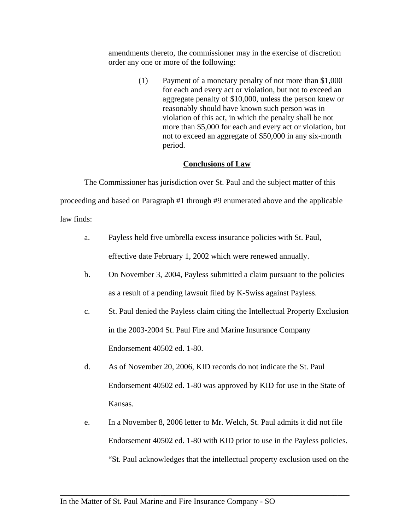amendments thereto, the commissioner may in the exercise of discretion order any one or more of the following:

> (1) Payment of a monetary penalty of not more than \$1,000 for each and every act or violation, but not to exceed an aggregate penalty of \$10,000, unless the person knew or reasonably should have known such person was in violation of this act, in which the penalty shall be not more than \$5,000 for each and every act or violation, but not to exceed an aggregate of \$50,000 in any six-month period.

#### **Conclusions of Law**

The Commissioner has jurisdiction over St. Paul and the subject matter of this proceeding and based on Paragraph #1 through #9 enumerated above and the applicable law finds:

- a. Payless held five umbrella excess insurance policies with St. Paul, effective date February 1, 2002 which were renewed annually.
- b. On November 3, 2004, Payless submitted a claim pursuant to the policies as a result of a pending lawsuit filed by K-Swiss against Payless.
- c. St. Paul denied the Payless claim citing the Intellectual Property Exclusion in the 2003-2004 St. Paul Fire and Marine Insurance Company Endorsement 40502 ed. 1-80.
- d. As of November 20, 2006, KID records do not indicate the St. Paul Endorsement 40502 ed. 1-80 was approved by KID for use in the State of Kansas.
- e. In a November 8, 2006 letter to Mr. Welch, St. Paul admits it did not file Endorsement 40502 ed. 1-80 with KID prior to use in the Payless policies. "St. Paul acknowledges that the intellectual property exclusion used on the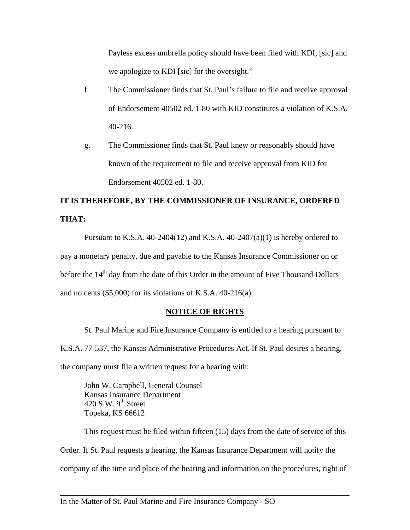Payless excess umbrella policy should have been filed with KDI, [sic] and we apologize to KDI [sic] for the oversight."

- f. The Commissioner finds that St. Paul's failure to file and receive approval of Endorsement 40502 ed. 1-80 with KID constitutes a violation of K.S.A. 40-216.
- g. The Commissioner finds that St. Paul knew or reasonably should have known of the requirement to file and receive approval from KID for Endorsement 40502 ed. 1-80.

# **IT IS THEREFORE, BY THE COMMISSIONER OF INSURANCE, ORDERED THAT:**

Pursuant to K.S.A.  $40-2404(12)$  and K.S.A.  $40-2407(a)(1)$  is hereby ordered to pay a monetary penalty, due and payable to the Kansas Insurance Commissioner on or before the  $14<sup>th</sup>$  day from the date of this Order in the amount of Five Thousand Dollars and no cents (\$5,000) for its violations of K.S.A. 40-216(a).

## **NOTICE OF RIGHTS**

St. Paul Marine and Fire Insurance Company is entitled to a hearing pursuant to K.S.A. 77-537, the Kansas Administrative Procedures Act. If St. Paul desires a hearing, the company must file a written request for a hearing with:

 John W. Campbell, General Counsel Kansas Insurance Department 420 S.W.  $9<sup>th</sup>$  Street Topeka, KS 66612

This request must be filed within fifteen (15) days from the date of service of this Order. If St. Paul requests a hearing, the Kansas Insurance Department will notify the company of the time and place of the hearing and information on the procedures, right of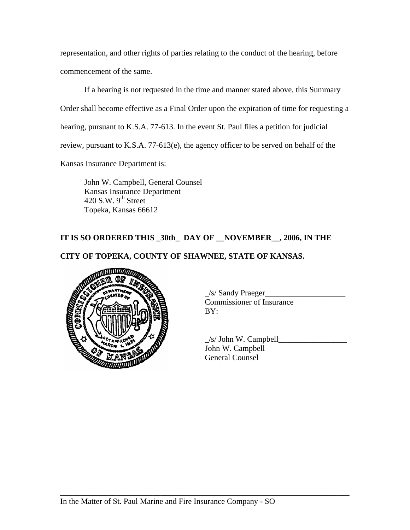representation, and other rights of parties relating to the conduct of the hearing, before commencement of the same.

If a hearing is not requested in the time and manner stated above, this Summary Order shall become effective as a Final Order upon the expiration of time for requesting a hearing, pursuant to K.S.A. 77-613. In the event St. Paul files a petition for judicial review, pursuant to K.S.A. 77-613(e), the agency officer to be served on behalf of the Kansas Insurance Department is:

 John W. Campbell, General Counsel Kansas Insurance Department 420 S.W.  $9<sup>th</sup>$  Street Topeka, Kansas 66612

## **IT IS SO ORDERED THIS \_30th\_ DAY OF \_\_NOVEMBER\_\_, 2006, IN THE**

## **CITY OF TOPEKA, COUNTY OF SHAWNEE, STATE OF KANSAS.**



 **\_**/s/ Sandy Praeger**\_\_\_\_\_\_\_\_\_\_\_\_\_\_\_\_\_\_\_\_** Commissioner of Insurance

 $\angle$ s/ John W. Campbell $\Box$  John W. Campbell General Counsel